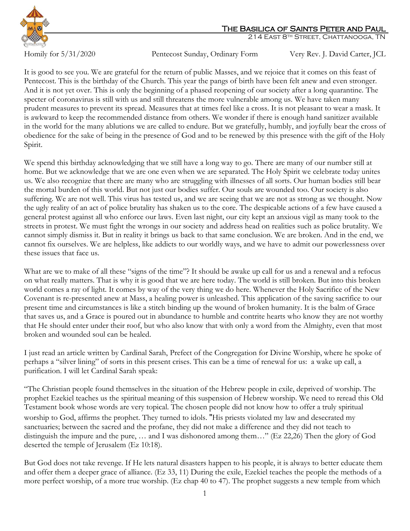

## The Basilica of Saints Peter and Paul

214 East 8th Street, Chattanooga, TN

Homily for 5/31/2020 Pentecost Sunday, Ordinary Form Very Rev. J. David Carter, JCL

It is good to see you. We are grateful for the return of public Masses, and we rejoice that it comes on this feast of Pentecost. This is the birthday of the Church. This year the pangs of birth have been felt anew and even stronger. And it is not yet over. This is only the beginning of a phased reopening of our society after a long quarantine. The specter of coronavirus is still with us and still threatens the more vulnerable among us. We have taken many prudent measures to prevent its spread. Measures that at times feel like a cross. It is not pleasant to wear a mask. It is awkward to keep the recommended distance from others. We wonder if there is enough hand sanitizer available in the world for the many ablutions we are called to endure. But we gratefully, humbly, and joyfully bear the cross of obedience for the sake of being in the presence of God and to be renewed by this presence with the gift of the Holy Spirit.

We spend this birthday acknowledging that we still have a long way to go. There are many of our number still at home. But we acknowledge that we are one even when we are separated. The Holy Spirit we celebrate today unites us. We also recognize that there are many who are struggling with illnesses of all sorts. Our human bodies still bear the mortal burden of this world. But not just our bodies suffer. Our souls are wounded too. Our society is also suffering. We are not well. This virus has tested us, and we are seeing that we are not as strong as we thought. Now the ugly reality of an act of police brutality has shaken us to the core. The despicable actions of a few have caused a general protest against all who enforce our laws. Even last night, our city kept an anxious vigil as many took to the streets in protest. We must fight the wrongs in our society and address head on realities such as police brutality. We cannot simply dismiss it. But in reality it brings us back to that same conclusion. We are broken. And in the end, we cannot fix ourselves. We are helpless, like addicts to our worldly ways, and we have to admit our powerlessness over these issues that face us.

What are we to make of all these "signs of the time"? It should be awake up call for us and a renewal and a refocus on what really matters. That is why it is good that we are here today. The world is still broken. But into this broken world comes a ray of light. It comes by way of the very thing we do here. Whenever the Holy Sacrifice of the New Covenant is re-presented anew at Mass, a healing power is unleashed. This application of the saving sacrifice to our present time and circumstances is like a stitch binding up the wound of broken humanity. It is the balm of Grace that saves us, and a Grace is poured out in abundance to humble and contrite hearts who know they are not worthy that He should enter under their roof, but who also know that with only a word from the Almighty, even that most broken and wounded soul can be healed.

I just read an article written by Cardinal Sarah, Prefect of the Congregation for Divine Worship, where he spoke of perhaps a "silver lining" of sorts in this present crises. This can be a time of renewal for us: a wake up call, a purification. I will let Cardinal Sarah speak:

"The Christian people found themselves in the situation of the Hebrew people in exile, deprived of worship. The prophet Ezekiel teaches us the spiritual meaning of this suspension of Hebrew worship. We need to reread this Old Testament book whose words are very topical. The chosen people did not know how to offer a truly spiritual worship to God, affirms the prophet. They turned to idols. "His priests violated my law and desecrated my sanctuaries; between the sacred and the profane, they did not make a difference and they did not teach to distinguish the impure and the pure, … and I was dishonored among them…" [\(Ez 22,26\)](javascript:;) Then the glory of God deserted the temple of Jerusalem [\(Ez 10:18\)](javascript:;).

But God does not take revenge. If He lets natural disasters happen to his people, it is always to better educate them and offer them a deeper grace of alliance. [\(Ez 33, 11\)](javascript:;) During the exile, Ezekiel teaches the people the methods of a more perfect worship, of a more true worship. (Ez chap 40 to 47). The prophet suggests a new temple from which